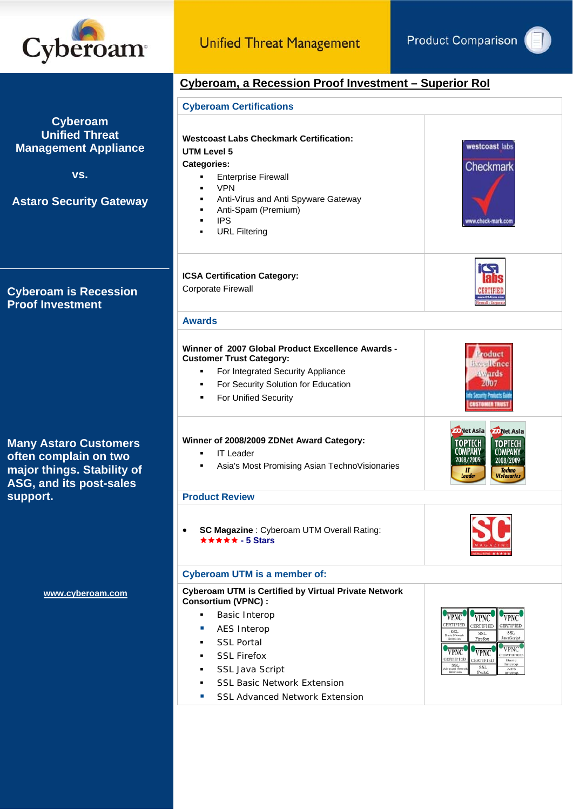

# **Cyberoam, a Recession Proof Investment – Superior RoI**

|                                                                                                                  | <b>Cyberoam Certifications</b>                                                                                                                                                                                                                                                                                                            |                                                                                                                                                                                                                                                                                                                                                                                                                   |  |
|------------------------------------------------------------------------------------------------------------------|-------------------------------------------------------------------------------------------------------------------------------------------------------------------------------------------------------------------------------------------------------------------------------------------------------------------------------------------|-------------------------------------------------------------------------------------------------------------------------------------------------------------------------------------------------------------------------------------------------------------------------------------------------------------------------------------------------------------------------------------------------------------------|--|
| <b>Cyberoam</b><br><b>Unified Threat</b><br><b>Management Appliance</b><br>VS.<br><b>Astaro Security Gateway</b> | <b>Westcoast Labs Checkmark Certification:</b><br><b>UTM Level 5</b><br><b>Categories:</b><br><b>Enterprise Firewall</b><br>٠<br><b>VPN</b><br>$\blacksquare$<br>Anti-Virus and Anti Spyware Gateway<br>$\blacksquare$<br>Anti-Spam (Premium)<br>$\blacksquare$<br><b>IPS</b><br>$\blacksquare$<br><b>URL Filtering</b><br>$\blacksquare$ | westcoast labs<br>Checkmark<br>www.check-mark.com                                                                                                                                                                                                                                                                                                                                                                 |  |
| <b>Cyberoam is Recession</b><br><b>Proof Investment</b>                                                          | <b>ICSA Certification Category:</b><br>Corporate Firewall                                                                                                                                                                                                                                                                                 | <b>IC<sub>2</sub></b>                                                                                                                                                                                                                                                                                                                                                                                             |  |
|                                                                                                                  | <b>Awards</b>                                                                                                                                                                                                                                                                                                                             |                                                                                                                                                                                                                                                                                                                                                                                                                   |  |
|                                                                                                                  | Winner of 2007 Global Product Excellence Awards -<br><b>Customer Trust Category:</b><br>For Integrated Security Appliance<br>٠<br>For Security Solution for Education<br>٠<br>For Unified Security<br>٠                                                                                                                                   | roduct<br><b>Executivnee</b><br><b>Awards</b><br>2007<br><b>Security Products Guid</b><br><b>ISTOMER TRIEST</b>                                                                                                                                                                                                                                                                                                   |  |
| <b>Many Astaro Customers</b><br>often complain on two<br>major things. Stability of<br>ASG, and its post-sales   | Winner of 2008/2009 ZDNet Award Category:<br><b>IT Leader</b><br>٠<br>Asia's Most Promising Asian TechnoVisionaries<br>٠                                                                                                                                                                                                                  | Net Asia <b>De Net Asia</b><br><b>TOPTECH</b><br><b>TOPTECH</b><br><b>COMPANY</b><br>COMPANY<br>2008/2009<br>2008/2009<br><b>Techno</b><br>$\boldsymbol{\Pi}$<br>Leader<br><b>Visionaries</b>                                                                                                                                                                                                                     |  |
| support.                                                                                                         | <b>Product Review</b>                                                                                                                                                                                                                                                                                                                     |                                                                                                                                                                                                                                                                                                                                                                                                                   |  |
|                                                                                                                  | SC Magazine : Cyberoam UTM Overall Rating:<br>★★★★★ - 5 Stars                                                                                                                                                                                                                                                                             |                                                                                                                                                                                                                                                                                                                                                                                                                   |  |
|                                                                                                                  | <b>Cyberoam UTM is a member of:</b>                                                                                                                                                                                                                                                                                                       |                                                                                                                                                                                                                                                                                                                                                                                                                   |  |
| www.cyberoam.com                                                                                                 | <b>Cyberoam UTM is Certified by Virtual Private Network</b><br>Consortium (VPNC) :<br><b>Basic Interop</b><br>٠<br><b>AES Interop</b><br>×<br><b>SSL Portal</b><br>$\blacksquare$<br><b>SSL Firefox</b><br>٠<br>SSL Java Script<br>٠<br><b>SSL Basic Network Extension</b><br>٠<br><b>SSL Advanced Network Extension</b><br>$\mathcal{C}$ | <b>VPNC</b><br>VPNC<br>VPNC<br>CERTIFIED<br>CERTIFIED<br>CERTIFIED<br>SSL<br>Ratic Mateorie<br><b>SSL</b><br><b>SSL</b><br>$\rm{Firefox}$<br>JavaScript<br>Extension<br><b>VPNC</b><br><b>VPNC</b><br><b>VPNC</b><br><b>ERTIFIED</b><br>CERTIFIED<br>CERTIFIED<br>Basic<br>Interop<br>$\begin{array}{c} \text{SSL} \\ \text{Adr speed} \\ \text{Iteration} \end{array}$<br>SSL<br>$\rm{AES}$<br>Portal<br>Interop |  |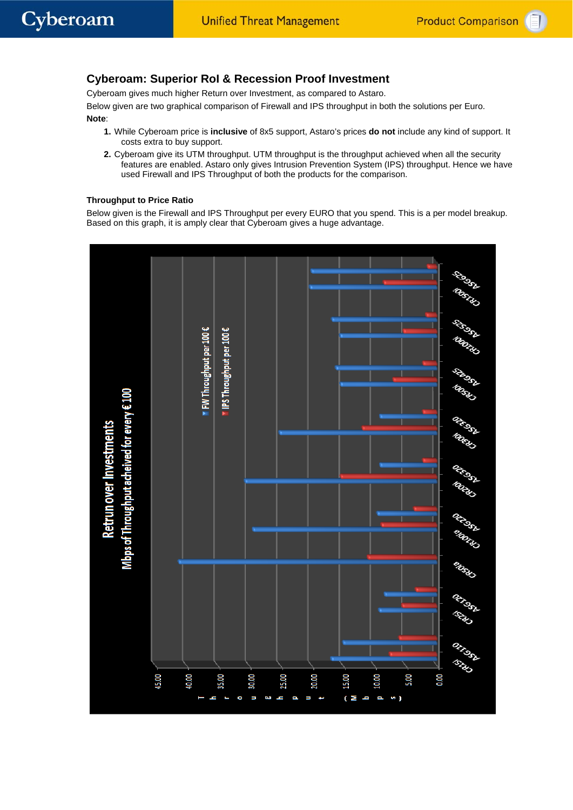# **Cyberoam: Superior RoI & Recession Proof Investment**

Cyberoam gives much higher Return over Investment, as compared to Astaro.

Below given are two graphical comparison of Firewall and IPS throughput in both the solutions per Euro. **Note**:

- **1.** While Cyberoam price is **inclusive** of 8x5 support, Astaro's prices **do not** include any kind of support. It costs extra to buy support.
- **2.** Cyberoam give its UTM throughput. UTM throughput is the throughput achieved when all the security features are enabled. Astaro only gives Intrusion Prevention System (IPS) throughput. Hence we have used Firewall and IPS Throughput of both the products for the comparison.

#### **Throughput to Price Ratio**

Below given is the Firewall and IPS Throughput per every EURO that you spend. This is a per model breakup. Based on this graph, it is amply clear that Cyberoam gives a huge advantage.

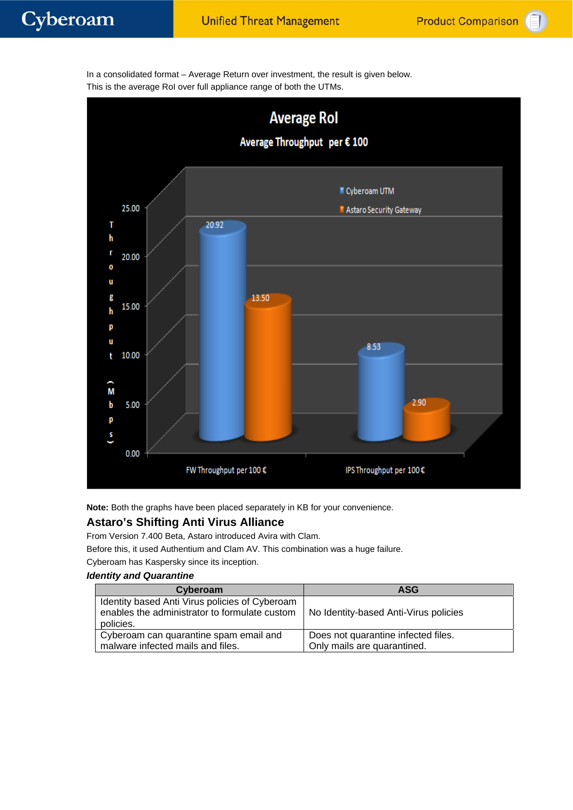

In a consolidated format – Average Return over investment, the result is given below. This is the average RoI over full appliance range of both the UTMs.

**Note:** Both the graphs have been placed separately in KB for your convenience.

# **Astaro's Shifting Anti Virus Alliance**

From Version 7.400 Beta, Astaro introduced Avira with Clam.

Before this, it used Authentium and Clam AV. This combination was a huge failure.

Cyberoam has Kaspersky since its inception.

#### *Identity and Quarantine*

| Cyberoam                                                                                                     | <b>ASG</b>                            |
|--------------------------------------------------------------------------------------------------------------|---------------------------------------|
| Identity based Anti Virus policies of Cyberoam<br>enables the administrator to formulate custom<br>policies. | No Identity-based Anti-Virus policies |
| Cyberoam can quarantine spam email and                                                                       | Does not quarantine infected files.   |
| malware infected mails and files.                                                                            | Only mails are quarantined.           |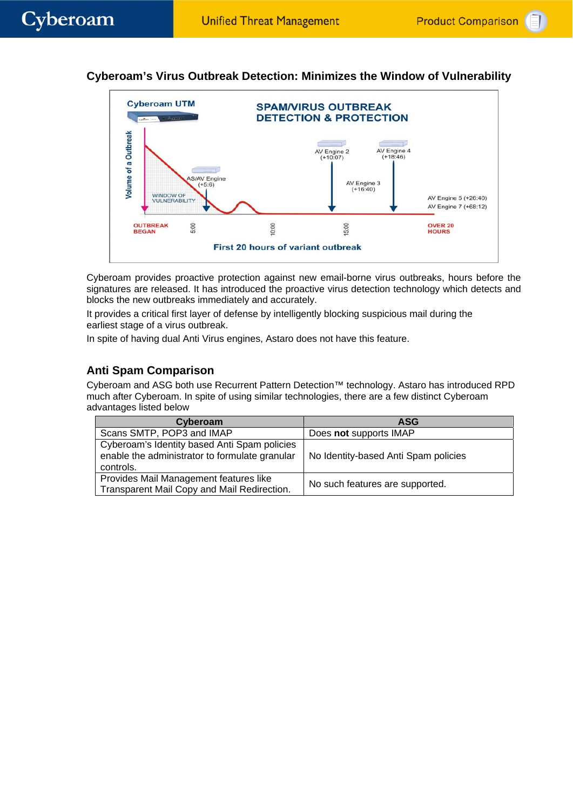# **Cyberoam's Virus Outbreak Detection: Minimizes the Window of Vulnerability**



Cyberoam provides proactive protection against new email-borne virus outbreaks, hours before the signatures are released. It has introduced the proactive virus detection technology which detects and blocks the new outbreaks immediately and accurately.

It provides a critical first layer of defense by intelligently blocking suspicious mail during the earliest stage of a virus outbreak.

In spite of having dual Anti Virus engines, Astaro does not have this feature.

# **Anti Spam Comparison**

Cyberoam and ASG both use Recurrent Pattern Detection™ technology. Astaro has introduced RPD much after Cyberoam. In spite of using similar technologies, there are a few distinct Cyberoam advantages listed below

| Cyberoam                                                                                                    | <b>ASG</b>                           |
|-------------------------------------------------------------------------------------------------------------|--------------------------------------|
| Scans SMTP, POP3 and IMAP                                                                                   | Does not supports IMAP               |
| Cyberoam's Identity based Anti Spam policies<br>enable the administrator to formulate granular<br>controls. | No Identity-based Anti Spam policies |
| Provides Mail Management features like<br>Transparent Mail Copy and Mail Redirection.                       | No such features are supported.      |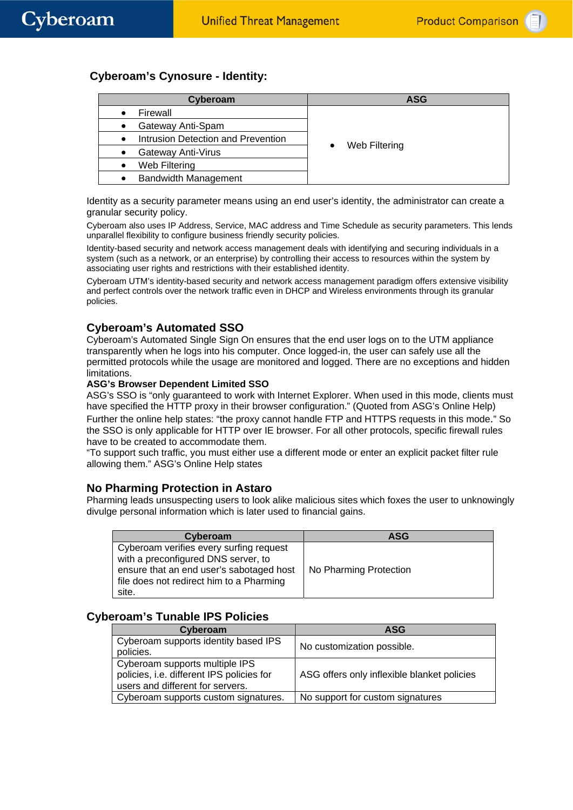# **Cyberoam's Cynosure - Identity:**

| Cyberoam                                        | ASG           |
|-------------------------------------------------|---------------|
| Firewall<br>$\bullet$                           |               |
| Gateway Anti-Spam                               |               |
| Intrusion Detection and Prevention<br>$\bullet$ |               |
| Gateway Anti-Virus                              | Web Filtering |
| Web Filtering                                   |               |
| <b>Bandwidth Management</b><br>$\bullet$        |               |

Identity as a security parameter means using an end user's identity, the administrator can create a granular security policy.

Cyberoam also uses IP Address, Service, MAC address and Time Schedule as security parameters. This lends unparallel flexibility to configure business friendly security policies.

Identity-based security and network access management deals with identifying and securing individuals in a system (such as a network, or an enterprise) by controlling their access to resources within the system by associating user rights and restrictions with their established identity.

Cyberoam UTM's identity-based security and network access management paradigm offers extensive visibility and perfect controls over the network traffic even in DHCP and Wireless environments through its granular policies.

# **Cyberoam's Automated SSO**

Cyberoam's Automated Single Sign On ensures that the end user logs on to the UTM appliance transparently when he logs into his computer. Once logged-in, the user can safely use all the permitted protocols while the usage are monitored and logged. There are no exceptions and hidden limitations.

#### **ASG's Browser Dependent Limited SSO**

ASG's SSO is "only guaranteed to work with Internet Explorer. When used in this mode, clients must have specified the HTTP proxy in their browser configuration." (Quoted from ASG's Online Help) Further the online help states: "the proxy cannot handle FTP and HTTPS requests in this mode." So the SSO is only applicable for HTTP over IE browser. For all other protocols, specific firewall rules have to be created to accommodate them.

"To support such traffic, you must either use a different mode or enter an explicit packet filter rule allowing them." ASG's Online Help states

#### **No Pharming Protection in Astaro**

Pharming leads unsuspecting users to look alike malicious sites which foxes the user to unknowingly divulge personal information which is later used to financial gains.

| Cyberoam                                                                                                                                                                        | <b>ASG</b>             |
|---------------------------------------------------------------------------------------------------------------------------------------------------------------------------------|------------------------|
| Cyberoam verifies every surfing request<br>with a preconfigured DNS server, to<br>ensure that an end user's sabotaged host<br>file does not redirect him to a Pharming<br>site. | No Pharming Protection |

## **Cyberoam's Tunable IPS Policies**

| Cyberoam                                                                                                        | ASG                                         |
|-----------------------------------------------------------------------------------------------------------------|---------------------------------------------|
| Cyberoam supports identity based IPS<br>policies.                                                               | No customization possible.                  |
| Cyberoam supports multiple IPS<br>policies, i.e. different IPS policies for<br>users and different for servers. | ASG offers only inflexible blanket policies |
| Cyberoam supports custom signatures.                                                                            | No support for custom signatures            |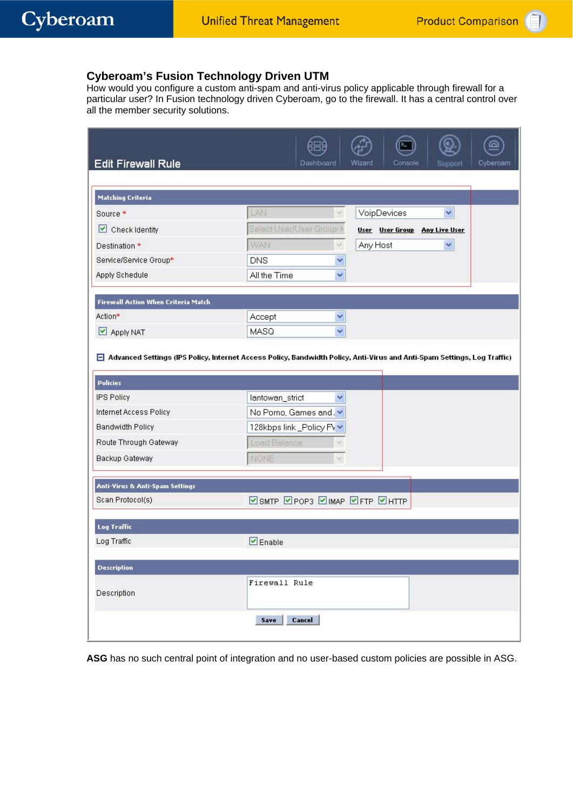# **Cyberoam's Fusion Technology Driven UTM**

How would you configure a custom anti-spam and anti-virus policy applicable through firewall for a particular user? In Fusion technology driven Cyberoam, go to the firewall. It has a central control over all the member security solutions.

| <b>Edit Firewall Rule</b>                                                                                                                          | Dashboard                         | Wizard<br>Console<br>Support  | Cyberoam |
|----------------------------------------------------------------------------------------------------------------------------------------------------|-----------------------------------|-------------------------------|----------|
|                                                                                                                                                    |                                   |                               |          |
| <b>Matching Criteria</b>                                                                                                                           |                                   |                               |          |
| Source *                                                                                                                                           | LAN<br>Ÿ.                         | VoipDevices<br>×              |          |
| $\Box$ Check Identity                                                                                                                              | Select User/User Group->          | User User Group Any Live User |          |
| Destination *                                                                                                                                      | WAN<br>v                          | Any Host<br>×                 |          |
| Service/Service Group*                                                                                                                             | <b>DNS</b><br>v                   |                               |          |
| Apply Schedule                                                                                                                                     | All the Time<br>v                 |                               |          |
| <b>Firewall Action When Criteria Match</b>                                                                                                         |                                   |                               |          |
| Action*                                                                                                                                            | Accept<br>Y                       |                               |          |
| $\Box$ Apply NAT                                                                                                                                   | MASQ<br>v                         |                               |          |
| $\Box$ Advanced Settings (IPS Policy, Internet Access Policy, Bandwidth Policy, Anti-Virus and Anti-Spam Settings, Log Traffic)<br><b>Policies</b> |                                   |                               |          |
| <b>IPS Policy</b>                                                                                                                                  | lantowan_strict<br>Ÿ              |                               |          |
| Internet Access Policy                                                                                                                             | No Porno, Games and.              |                               |          |
| <b>Bandwidth Policy</b>                                                                                                                            | 128kbps link _Policy Fv           |                               |          |
| Route Through Gateway                                                                                                                              | Load Balance<br>v                 |                               |          |
| Backup Gateway                                                                                                                                     | NONE                              |                               |          |
| Anti-Virus & Anti-Spam Settings                                                                                                                    |                                   |                               |          |
| Scan Protocol(s)                                                                                                                                   | ☑ SMTP 2 POP3 2 IMAP 2 FTP 2 HTTP |                               |          |
| <b>Log Traffic</b>                                                                                                                                 |                                   |                               |          |
| Log Traffic                                                                                                                                        | $\n  enable\n$                    |                               |          |
| <b>Description</b>                                                                                                                                 |                                   |                               |          |
|                                                                                                                                                    | Firewall Rule                     |                               |          |
| Description                                                                                                                                        |                                   |                               |          |
|                                                                                                                                                    | Cancel<br>Save                    |                               |          |
|                                                                                                                                                    |                                   |                               |          |

**ASG** has no such central point of integration and no user-based custom policies are possible in ASG.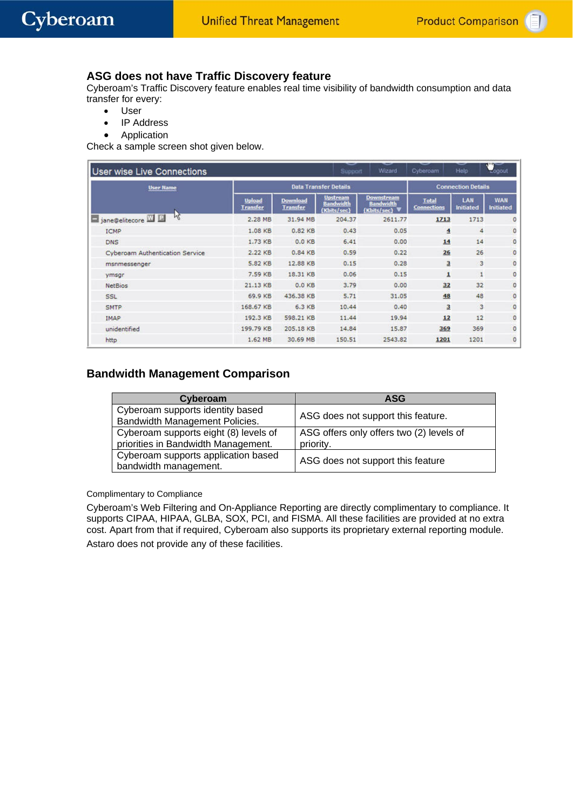## **ASG does not have Traffic Discovery feature**

Cyberoam's Traffic Discovery feature enables real time visibility of bandwidth consumption and data transfer for every:

- User
- IP Address
- **Application**

Check a sample screen shot given below.

| <b>User wise Live Connections</b> |                                  |                              | $\tilde{\phantom{a}}$<br>Support                   | Wizard                                               | Cyberoam                           | Help                    | <b>REAL</b><br>Logout          |
|-----------------------------------|----------------------------------|------------------------------|----------------------------------------------------|------------------------------------------------------|------------------------------------|-------------------------|--------------------------------|
| <b>User Name</b>                  |                                  | <b>Data Transfer Details</b> |                                                    | <b>Connection Details</b>                            |                                    |                         |                                |
|                                   | <b>Upload</b><br><b>Transfer</b> | Download<br><b>Transfer</b>  | <b>Upstream</b><br><b>Bandwidth</b><br>(Khits/sec) | <b>Downstream</b><br><b>Bandwidth</b><br>(Khits/sec) | <b>Total</b><br><b>Connections</b> | LAN<br><b>Initiated</b> | <b>WAN</b><br><b>Initiated</b> |
| μž<br>in jane@elitecore W E       | 2.28 MB                          | 31.94 MB                     | 204.37                                             | 2611.77                                              | 1713                               | 1713                    | $\circ$                        |
| <b>ICMP</b>                       | 1.08 KB                          | 0.82 KB                      | 0.43                                               | 0.05                                                 | $\overline{4}$                     | 4                       | $\circ$                        |
| <b>DNS</b>                        | 1.73 KB                          | $0.0K$ B                     | 6.41                                               | 0.00                                                 | 14                                 | 14                      | $\circ$                        |
| Cyberoam Authentication Service   | 2.22 KB                          | 0.84 KB                      | 0.59                                               | 0.22                                                 | 26                                 | 26                      | O                              |
| msnmessenger                      | 5.82 KB                          | 12.88 KB                     | 0.15                                               | 0.28                                                 | $\overline{3}$                     | 3                       | 0                              |
| ymsgr                             | 7.59 KB                          | 18.31 KB                     | 0.06                                               | 0.15                                                 | $\overline{\mathbf{1}}$            | 1                       | o                              |
| NetBios.                          | 21.13 KB                         | $0.0K$ B                     | 3.79                                               | 0.00                                                 | 32                                 | 32                      | 0                              |
| <b>SSL</b>                        | 69.9 KB                          | 436.38 KB                    | 5.71                                               | 31.05                                                | 48                                 | 48                      | 0                              |
| <b>SMTP</b>                       | 168.67 KB                        | 6.3 KB                       | 10.44                                              | 0.40                                                 | $\overline{\mathbf{3}}$            | 3                       | $\circ$                        |
| IMAP                              | 192.3 KB                         | 598.21 KB                    | 11.44                                              | 19.94                                                | 12                                 | 12                      | $\circ$                        |
| unidentified                      | 199.79 KB                        | 205.18 KB                    | 14.84                                              | 15.87                                                | 369                                | 369                     | O                              |
| http                              | 1.62 MB                          | 30.69 MB                     | 150.51                                             | 2543.82                                              | 1201                               | 1201                    | $\circ$                        |

### **Bandwidth Management Comparison**

| Cyberoam                              | <b>ASG</b>                               |
|---------------------------------------|------------------------------------------|
| Cyberoam supports identity based      | ASG does not support this feature.       |
| Bandwidth Management Policies.        |                                          |
| Cyberoam supports eight (8) levels of | ASG offers only offers two (2) levels of |
| priorities in Bandwidth Management.   | priority.                                |
| Cyberoam supports application based   | ASG does not support this feature        |
| bandwidth management.                 |                                          |

#### Complimentary to Compliance

Cyberoam's Web Filtering and On-Appliance Reporting are directly complimentary to compliance. It supports CIPAA, HIPAA, GLBA, SOX, PCI, and FISMA. All these facilities are provided at no extra cost. Apart from that if required, Cyberoam also supports its proprietary external reporting module. Astaro does not provide any of these facilities.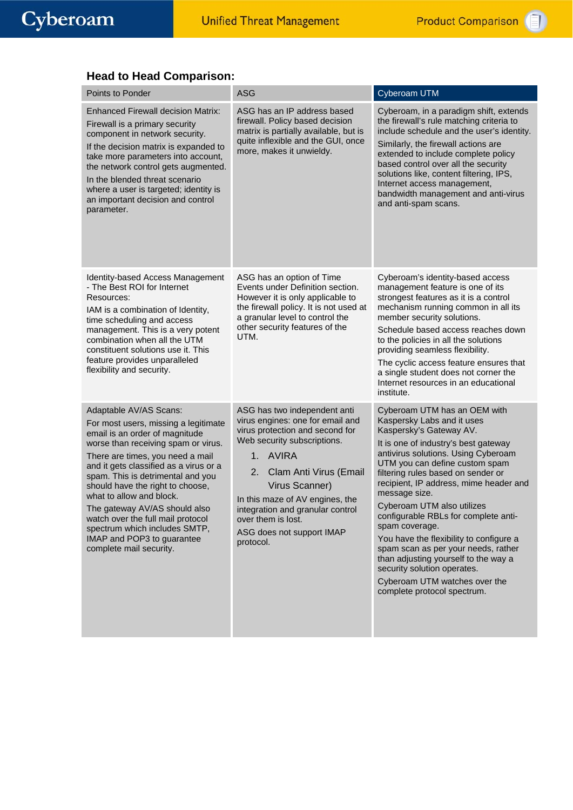# **Head to Head Comparison:**

| Points to Ponder                                                                                                                                                                                                                                                                                                                                                                                                                                                                           | <b>ASG</b>                                                                                                                                                                                                                                                                                                                                             | Cyberoam UTM                                                                                                                                                                                                                                                                                                                                                                                                                                                                                                                                                                                                             |
|--------------------------------------------------------------------------------------------------------------------------------------------------------------------------------------------------------------------------------------------------------------------------------------------------------------------------------------------------------------------------------------------------------------------------------------------------------------------------------------------|--------------------------------------------------------------------------------------------------------------------------------------------------------------------------------------------------------------------------------------------------------------------------------------------------------------------------------------------------------|--------------------------------------------------------------------------------------------------------------------------------------------------------------------------------------------------------------------------------------------------------------------------------------------------------------------------------------------------------------------------------------------------------------------------------------------------------------------------------------------------------------------------------------------------------------------------------------------------------------------------|
| <b>Enhanced Firewall decision Matrix:</b><br>Firewall is a primary security<br>component in network security.<br>If the decision matrix is expanded to<br>take more parameters into account,<br>the network control gets augmented.<br>In the blended threat scenario<br>where a user is targeted; identity is<br>an important decision and control<br>parameter.                                                                                                                          | ASG has an IP address based<br>firewall. Policy based decision<br>matrix is partially available, but is<br>quite inflexible and the GUI, once<br>more, makes it unwieldy.                                                                                                                                                                              | Cyberoam, in a paradigm shift, extends<br>the firewall's rule matching criteria to<br>include schedule and the user's identity.<br>Similarly, the firewall actions are<br>extended to include complete policy<br>based control over all the security<br>solutions like, content filtering, IPS,<br>Internet access management,<br>bandwidth management and anti-virus<br>and anti-spam scans.                                                                                                                                                                                                                            |
| Identity-based Access Management<br>- The Best ROI for Internet<br>Resources:<br>IAM is a combination of Identity,<br>time scheduling and access<br>management. This is a very potent<br>combination when all the UTM<br>constituent solutions use it. This<br>feature provides unparalleled<br>flexibility and security.                                                                                                                                                                  | ASG has an option of Time<br>Events under Definition section.<br>However it is only applicable to<br>the firewall policy. It is not used at<br>a granular level to control the<br>other security features of the<br>UTM.                                                                                                                               | Cyberoam's identity-based access<br>management feature is one of its<br>strongest features as it is a control<br>mechanism running common in all its<br>member security solutions.<br>Schedule based access reaches down<br>to the policies in all the solutions<br>providing seamless flexibility.<br>The cyclic access feature ensures that<br>a single student does not corner the<br>Internet resources in an educational<br>institute.                                                                                                                                                                              |
| Adaptable AV/AS Scans:<br>For most users, missing a legitimate<br>email is an order of magnitude<br>worse than receiving spam or virus.<br>There are times, you need a mail<br>and it gets classified as a virus or a<br>spam. This is detrimental and you<br>should have the right to choose,<br>what to allow and block.<br>The gateway AV/AS should also<br>watch over the full mail protocol<br>spectrum which includes SMTP,<br>IMAP and POP3 to guarantee<br>complete mail security. | ASG has two independent anti<br>virus engines: one for email and<br>virus protection and second for<br>Web security subscriptions.<br>AVIRA<br>1 <sub>1</sub><br>2.<br>Clam Anti Virus (Email<br>Virus Scanner)<br>In this maze of AV engines, the<br>integration and granular control<br>over them is lost.<br>ASG does not support IMAP<br>protocol. | Cyberoam UTM has an OEM with<br>Kaspersky Labs and it uses<br>Kaspersky's Gateway AV.<br>It is one of industry's best gateway<br>antivirus solutions. Using Cyberoam<br>UTM you can define custom spam<br>filtering rules based on sender or<br>recipient, IP address, mime header and<br>message size.<br>Cyberoam UTM also utilizes<br>configurable RBLs for complete anti-<br>spam coverage.<br>You have the flexibility to configure a<br>spam scan as per your needs, rather<br>than adjusting yourself to the way a<br>security solution operates.<br>Cyberoam UTM watches over the<br>complete protocol spectrum. |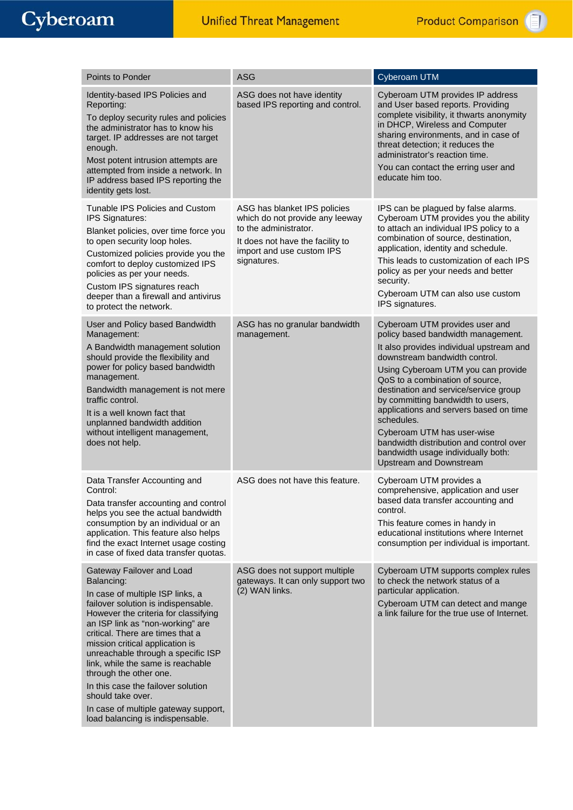| Points to Ponder                                                                                                                                                                                                                                                                                                                                                                                                                                                                                                  | <b>ASG</b>                                                                                                                                                               | Cyberoam UTM                                                                                                                                                                                                                                                                                                                                                                                                                                                                                                      |
|-------------------------------------------------------------------------------------------------------------------------------------------------------------------------------------------------------------------------------------------------------------------------------------------------------------------------------------------------------------------------------------------------------------------------------------------------------------------------------------------------------------------|--------------------------------------------------------------------------------------------------------------------------------------------------------------------------|-------------------------------------------------------------------------------------------------------------------------------------------------------------------------------------------------------------------------------------------------------------------------------------------------------------------------------------------------------------------------------------------------------------------------------------------------------------------------------------------------------------------|
| Identity-based IPS Policies and<br>Reporting:<br>To deploy security rules and policies<br>the administrator has to know his<br>target. IP addresses are not target<br>enough.<br>Most potent intrusion attempts are<br>attempted from inside a network. In<br>IP address based IPS reporting the<br>identity gets lost.                                                                                                                                                                                           | ASG does not have identity<br>based IPS reporting and control.                                                                                                           | Cyberoam UTM provides IP address<br>and User based reports. Providing<br>complete visibility, it thwarts anonymity<br>in DHCP, Wireless and Computer<br>sharing environments, and in case of<br>threat detection; it reduces the<br>administrator's reaction time.<br>You can contact the erring user and<br>educate him too.                                                                                                                                                                                     |
| Tunable IPS Policies and Custom<br>IPS Signatures:<br>Blanket policies, over time force you<br>to open security loop holes.<br>Customized policies provide you the<br>comfort to deploy customized IPS<br>policies as per your needs.<br>Custom IPS signatures reach<br>deeper than a firewall and antivirus<br>to protect the network.                                                                                                                                                                           | ASG has blanket IPS policies<br>which do not provide any leeway<br>to the administrator.<br>It does not have the facility to<br>import and use custom IPS<br>signatures. | IPS can be plagued by false alarms.<br>Cyberoam UTM provides you the ability<br>to attach an individual IPS policy to a<br>combination of source, destination,<br>application, identity and schedule.<br>This leads to customization of each IPS<br>policy as per your needs and better<br>security.<br>Cyberoam UTM can also use custom<br>IPS signatures.                                                                                                                                                       |
| User and Policy based Bandwidth<br>Management:<br>A Bandwidth management solution<br>should provide the flexibility and<br>power for policy based bandwidth<br>management.<br>Bandwidth management is not mere<br>traffic control.<br>It is a well known fact that<br>unplanned bandwidth addition<br>without intelligent management,<br>does not help.                                                                                                                                                           | ASG has no granular bandwidth<br>management.                                                                                                                             | Cyberoam UTM provides user and<br>policy based bandwidth management.<br>It also provides individual upstream and<br>downstream bandwidth control.<br>Using Cyberoam UTM you can provide<br>QoS to a combination of source,<br>destination and service/service group<br>by committing bandwidth to users,<br>applications and servers based on time<br>schedules.<br>Cyberoam UTM has user-wise<br>bandwidth distribution and control over<br>bandwidth usage individually both:<br><b>Upstream and Downstream</b> |
| Data Transfer Accounting and<br>Control:<br>Data transfer accounting and control<br>helps you see the actual bandwidth<br>consumption by an individual or an<br>application. This feature also helps<br>find the exact Internet usage costing<br>in case of fixed data transfer quotas.                                                                                                                                                                                                                           | ASG does not have this feature.                                                                                                                                          | Cyberoam UTM provides a<br>comprehensive, application and user<br>based data transfer accounting and<br>control.<br>This feature comes in handy in<br>educational institutions where Internet<br>consumption per individual is important.                                                                                                                                                                                                                                                                         |
| Gateway Failover and Load<br>Balancing:<br>In case of multiple ISP links, a<br>failover solution is indispensable.<br>However the criteria for classifying<br>an ISP link as "non-working" are<br>critical. There are times that a<br>mission critical application is<br>unreachable through a specific ISP<br>link, while the same is reachable<br>through the other one.<br>In this case the failover solution<br>should take over.<br>In case of multiple gateway support,<br>load balancing is indispensable. | ASG does not support multiple<br>gateways. It can only support two<br>(2) WAN links.                                                                                     | Cyberoam UTM supports complex rules<br>to check the network status of a<br>particular application.<br>Cyberoam UTM can detect and mange<br>a link failure for the true use of Internet.                                                                                                                                                                                                                                                                                                                           |